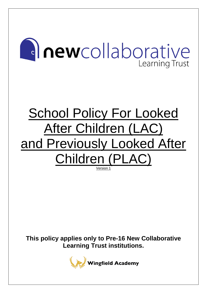# **al newcollaborative Learning Trust**

## School Policy For Looked After Children (LAC) and Previously Looked After Children (PLAC)

Version 1

**This policy applies only to Pre-16 New Collaborative Learning Trust institutions.**

**Wingfield Academy**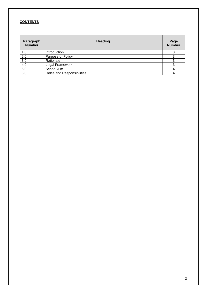#### **CONTENTS**

| Paragraph<br><b>Number</b> | <b>Heading</b>             | Page<br><b>Number</b> |
|----------------------------|----------------------------|-----------------------|
| 1.0                        | Introduction               |                       |
| 2.0                        | Purpose of Policy          |                       |
| 3.0                        | Rationale                  | 3                     |
| 4.0                        | Legal Framework            | 3                     |
| 5.0                        | School Aim                 |                       |
| 6.0                        | Roles and Responsibilities |                       |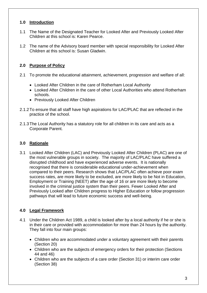#### **1.0 Introduction**

- 1.1 The Name of the Designated Teacher for Looked After and Previously Looked After Children at this school is: Karen Pearce.
- 1.2 The name of the Advisory board member with special responsibility for Looked After Children at this school is: Susan Gladwin.

## **2.0 Purpose of Policy**

- 2.1 To promote the educational attainment, achievement, progression and welfare of all:
	- Looked After Children in the care of Rotherham Local Authority
	- Looked After Children in the care of other Local Authorities who attend Rotherham schools.
	- Previously Looked After Children
- 2.1.2To ensure that all staff have high aspirations for LAC/PLAC that are reflected in the practice of the school.
- 2.1.3The Local Authority has a statutory role for all children in its care and acts as a Corporate Parent.

#### **3.0 Rationale**

3.1 Looked After Children (LAC) and Previously Looked After Children (PLAC) are one of the most vulnerable groups in society. The majority of LAC/PLAC have suffered a disrupted childhood and have experienced adverse events. It is nationally recognised that there is considerable educational under-achievement when compared to their peers. Research shows that LAC/PLAC often achieve poor exam success rates, are more likely to be excluded, are more likely to be Not in Education, Employment or Training (NEET) after the age of 16 or are more likely to become involved in the criminal justice system than their peers. Fewer Looked After and Previously Looked after Children progress to Higher Education or follow progression pathways that will lead to future economic success and well-being.

## **4.0 Legal Framework**

- 4.1 Under the Children Act 1989, a child is looked after by a local authority if he or she is in their care or provided with accommodation for more than 24 hours by the authority. They fall into four main groups:
	- Children who are accommodated under a voluntary agreement with their parents (Section 20)
	- Children who are the subjects of emergency orders for their protection (Sections 44 and 46)
	- Children who are the subjects of a care order (Section 31) or interim care order (Section 38)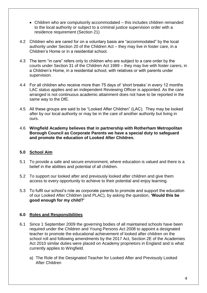- Children who are compulsorily accommodated this includes children remanded to the local authority or subject to a criminal justice supervision order with a residence requirement (Section 21)
- 4.2 Children who are cared for on a voluntary basis are "accommodated" by the local authority under Section 20 of the Children Act – they may live in foster care, in a Children's Home or in a residential school.
- 4.3 The term "in care" refers only to children who are subject to a care order by the courts under Section 31 of the Children Act 1989 – they may live with foster carers, in a Children's Home, in a residential school, with relatives or with parents under supervision.
- 4.4 For all children who receive more than 75 days of 'short breaks' in every 12 months LAC status applies and an independent Reviewing Officer is appointed. As the care arranged is not continuous academic attainment does not have to be reported in the same way to the DfE.
- 4.5 All these groups are said to be "Looked After Children" (LAC). They may be looked after by our local authority or may be in the care of another authority but living in ours.
- 4.6 **Wingfield Academy believes that in partnership with Rotherham Metropolitan Borough Council as Corporate Parents we have a special duty to safeguard and promote the education of Looked After Children.**

#### **5.0 School Aim**

- 5.1 To provide a safe and secure environment, where education is valued and there is a belief in the abilities and potential of all children.
- 5.2 To support our looked after and previously looked after children and give them access to every opportunity to achieve to their potential and enjoy learning.
- 5.3 To fulfil our school's role as corporate parents to promote and support the education of our Looked After Children (and PLAC), by asking the question, **'Would this be good enough for my child?'**

## **6.0 Roles and Responsibilities**

- 6.1 Since 1 September 2009 the governing bodies of all maintained schools have been required under the Children and Young Persons Act 2008 to appoint a designated teacher to promote the educational achievement of looked after children on the school roll and following amendments by the 2017 Act, Section 2E of the Academies Act 2010 similar duties were placed on Academy proprietors in England and is what currently applies to Wingfield.
	- a) The Role of the Designated Teacher for Looked After and Previously Looked After Children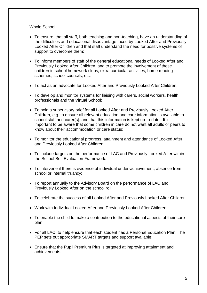Whole School:

- To ensure that all staff, both teaching and non-teaching, have an understanding of the difficulties and educational disadvantage faced by Looked After and Previously Looked After Children and that staff understand the need for positive systems of support to overcome them;
- To inform members of staff of the general educational needs of Looked After and Previously Looked After Children, and to promote the involvement of these children in school homework clubs, extra curricular activities, home reading schemes, school councils, etc;
- To act as an advocate for Looked After and Previously Looked After Children;
- To develop and monitor systems for liaising with carers, social workers, health professionals and the Virtual School;
- To hold a supervisory brief for all Looked After and Previously Looked After Children, e.g. to ensure all relevant education and care information is available to school staff and carer(s), and that this information is kept up-to-date. It is important to be aware that some children in care do not want all adults or peers to know about their accommodation or care status;
- To monitor the educational progress, attainment and attendance of Looked After and Previously Looked After Children.
- To include targets on the performance of LAC and Previously Looked After within the School Self Evaluation Framework.
- To intervene if there is evidence of individual under-achievement, absence from school or internal truancy;
- To report annually to the Advisory Board on the performance of LAC and Previously Looked After on the school roll.
- To celebrate the success of all Looked After and Previously Looked After Children.
- Work with Individual Looked After and Previously Looked After Children
- To enable the child to make a contribution to the educational aspects of their care plan;
- For all LAC, to help ensure that each student has a Personal Education Plan. The PEP sets out appropriate SMART targets and support available;
- Ensure that the Pupil Premium Plus is targeted at improving attainment and achievements.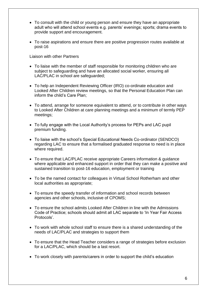- To consult with the child or young person and ensure they have an appropriate adult who will attend school events e.g. parents' evenings; sports; drama events to provide support and encouragement.
- To raise aspirations and ensure there are positive progression routes available at post-16

Liaison with other Partners

- To liaise with the member of staff responsible for monitoring children who are subject to safeguarding and have an allocated social worker, ensuring all LAC/PLAC in school are safeguarded;
- To help an Independent Reviewing Officer (IRO) co-ordinate education and Looked After Children review meetings, so that the Personal Education Plan can inform the child's Care Plan;
- To attend, arrange for someone equivalent to attend, or to contribute in other ways to Looked After Children at care planning meetings and a minimum of termly PEP meetings;
- To fully engage with the Local Authority's process for PEPs and LAC pupil premium funding.
- To liaise with the school's Special Educational Needs Co-ordinator (SENDCO) regarding LAC to ensure that a formalised graduated response to need is in place where required.
- To ensure that LAC/PLAC receive appropriate Careers information & guidance where applicable and enhanced support in order that they can make a positive and sustained transition to post-16 education, employment or training
- To be the named contact for colleagues in Virtual School Rotherham and other local authorities as appropriate;
- To ensure the speedy transfer of information and school records between agencies and other schools, inclusive of CPOMS;
- To ensure the school admits Looked After Children in line with the Admissions Code of Practice; schools should admit all LAC separate to 'In Year Fair Access Protocols'.
- To work with whole school staff to ensure there is a shared understanding of the needs of LAC/PLAC and strategies to support them
- To ensure that the Head Teacher considers a range of strategies before exclusion for a LAC/PLAC, which should be a last resort.
- To work closely with parents/carers in order to support the child's education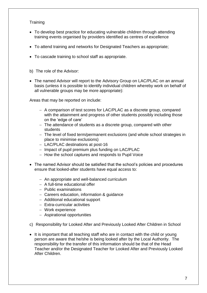#### **Training**

- To develop best practice for educating vulnerable children through attending training events organised by providers identified as centres of excellence
- To attend training and networks for Designated Teachers as appropriate;
- To cascade training to school staff as appropriate.
- b) The role of the Advisor:
- The named Advisor will report to the Advisory Group on LAC/PLAC on an annual basis (unless it is possible to identify individual children whereby work on behalf of all vulnerable groups may be more appropriate):

Areas that may be reported on include:

- − A comparison of test scores for LAC/PLAC as a discrete group, compared with the attainment and progress of other students possibly including those on the 'edge of care'
- − The attendance of students as a discrete group, compared with other students
- − The level of fixed term/permanent exclusions (and whole school strategies in place to minimise exclusions)
- − LAC/PLAC destinations at post-16
- − Impact of pupil premium plus funding on LAC/PLAC
- − How the school captures and responds to Pupil Voice
- The named Advisor should be satisfied that the school's policies and procedures ensure that looked-after students have equal access to:
	- − An appropriate and well-balanced curriculum
	- − A full-time educational offer
	- − Public examinations
	- − Careers education, information & guidance
	- − Additional educational support
	- − Extra-curricular activities
	- − Work experience
	- − Aspirational opportunities
- c) Responsibility for Looked After and Previously Looked After Children in School
- It is important that all teaching staff who are in contact with the child or young person are aware that he/she is being looked after by the Local Authority. The responsibility for the transfer of this information should be that of the Head Teacher and/or the Designated Teacher for Looked After and Previously Looked After Children.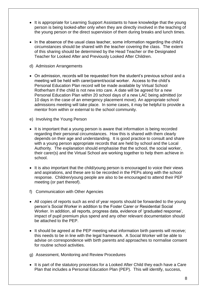- It is appropriate for Learning Support Assistants to have knowledge that the young person is being looked-after only when they are directly involved in the teaching of the young person or the direct supervision of them during breaks and lunch times.
- In the absence of the usual class teacher, some information regarding the child's circumstances should be shared with the teacher covering the class. The extent of this sharing should be determined by the Head Teacher or the Designated Teacher for Looked After and Previously Looked After Children.
- d) Admission Arrangements
- On admission, records will be requested from the student's previous school and a meeting will be held with carer/parent/social worker. Access to the child's Personal Education Plan record will be made available by Virtual School Rotherham if the child is not new into care. A date will be agreed for a new Personal Education Plan within 20 school days of a new LAC being admitted (or 10 days in the case of an emergency placement move). An appropriate school admissions meeting will take place. In some cases, it may be helpful to provide a mentor from within or external to the school community.
- e) Involving the Young Person
- It is important that a young person is aware that information is being recorded regarding their personal circumstances. How this is shared with them clearly depends on their age and understanding. It is good practice to consult and share with a young person appropriate records that are held by school and the Local Authority. The explanation should emphasise that the school, the social worker, their carer(s) and the Virtual School are working together to help them achieve in school.
- It is also important that the child/young person is encouraged to voice their views and aspirations, and these are to be recorded in the PEPs along with the school response. Children/young people are also to be encouraged to attend their PEP meeting (or part thereof).
- f) Communication with Other Agencies
- All copies of reports such as end of year reports should be forwarded to the young person's Social Worker in addition to the Foster Carer or Residential Social Worker. In addition, all reports, progress data, evidence of 'graduated response', impact of pupil premium plus spend and any other relevant documentation should be attached to the PEP.
- It should be agreed at the PEP meeting what information birth parents will receive; this needs to be in line with the legal framework. A Social Worker will be able to advise on correspondence with birth parents and approaches to normalise consent for routine school activities.
- g) Assessment, Monitoring and Review Procedures
- It is part of the statutory processes for a Looked After Child they each have a Care Plan that includes a Personal Education Plan (PEP). This will identify, success,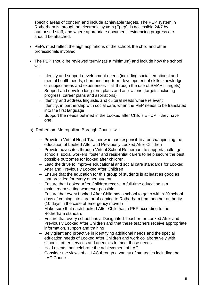specific areas of concern and include achievable targets. The PEP system in Rotherham is through an electronic system (Epep), is accessible 24/7 by authorised staff, and where appropriate documents evidencing progress etc should be attached.

- PEPs must reflect the high aspirations of the school, the child and other professionals involved.
- The PEP should be reviewed termly (as a minimum) and include how the school will:
	- − Identify and support development needs (including social, emotional and mental health needs, short and long-term development of skills, knowledge or subject areas and experiences – all through the use of SMART targets)
	- − Support and develop long-term plans and aspirations (targets including progress, career plans and aspirations)
	- − Identify and address linguistic and cultural needs where relevant
	- − Identify, in partnership with social care, when the PEP needs to be translated into the first language
	- − Support the needs outlined in the Looked after Child's EHCP if they have one.
- h) Rotherham Metropolitan Borough Council will:
	- − Provide a Virtual Head Teacher who has responsibility for championing the education of Looked After and Previously Looked After Children
	- − Provide advocates through Virtual School Rotherham to support/challenge schools, social workers, foster and residential carers to help secure the best possible outcomes for looked after children.
	- − Lead the drive to improve educational and social care standards for Looked After and Previously Looked After Children
	- − Ensure that the education for this group of students is at least as good as that provided for every other student
	- − Ensure that Looked After Children receive a full-time education in a mainstream setting wherever possible
	- − Ensure that every Looked After Child has a school to go to within 20 school days of coming into care or of coming to Rotherham from another authority (10 days in the case of emergency moves)
	- − Make sure that each Looked After Child has a PEP according to the Rotherham standard
	- − Ensure that every school has a Designated Teacher for Looked After and Previously Looked After Children and that these teachers receive appropriate information, support and training
	- − Be vigilant and proactive in identifying additional needs and the special education needs of Looked After Children and work collaboratively with schools, other services and agencies to meet those needs
	- − Hold events that celebrate the achievement of LAC
	- − Consider the views of all LAC through a variety of strategies including the LAC Council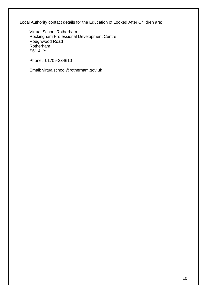Local Authority contact details for the Education of Looked After Children are:

Virtual School Rotherham Rockingham Professional Development Centre Roughwood Road Rotherham S61 4HY

Phone: 01709-334610

Email: virtualschool@rotherham.gov.uk